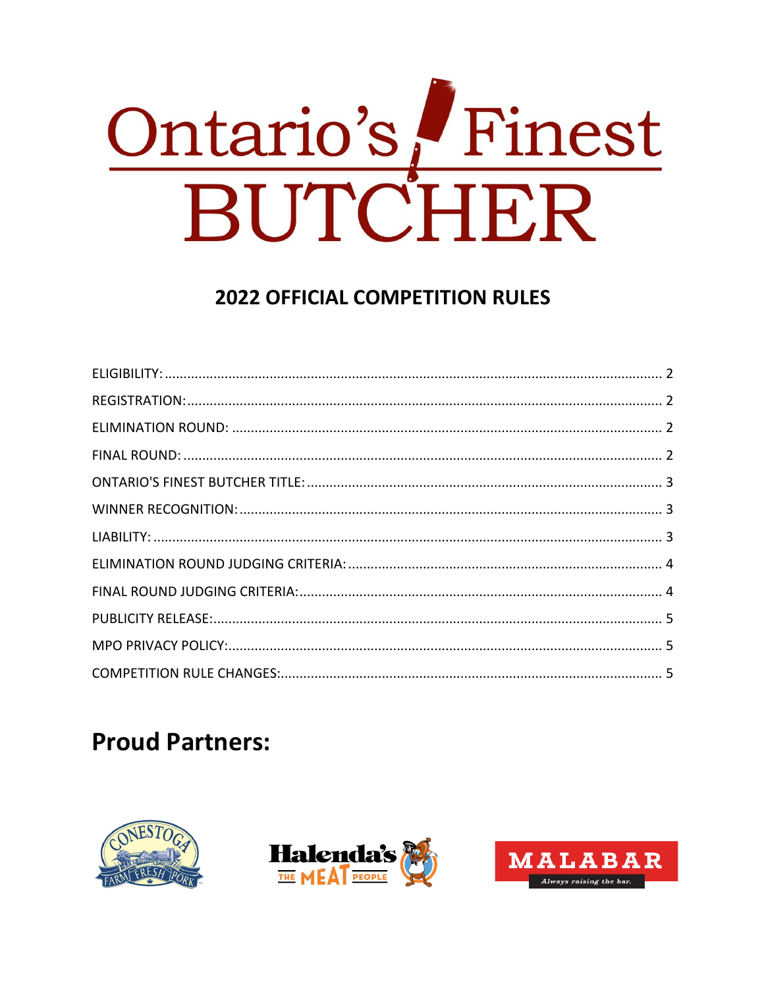

## **2022 OFFICIAL COMPETITION RULES**

# **Proud Partners:**





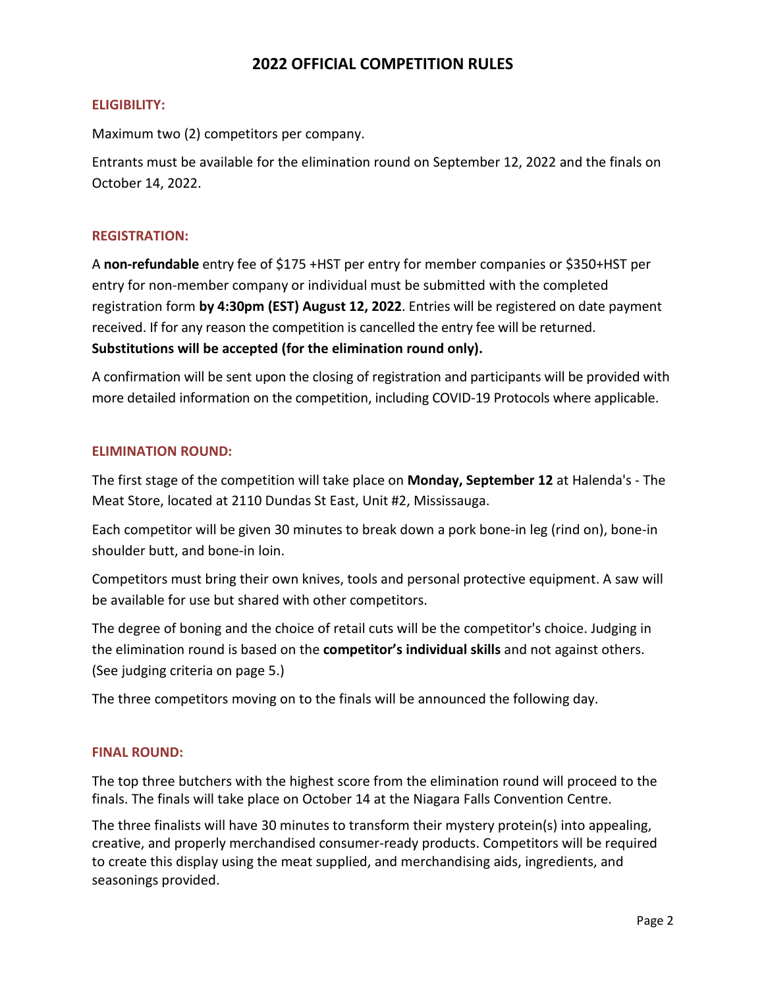## <span id="page-1-1"></span>**2022 OFFICIAL COMPETITION RULES**

## <span id="page-1-0"></span>**ELIGIBILITY:**

Maximum two (2) competitors per company.

Entrants must be available for the elimination round on September 12, 2022 and the finals on October 14, 2022.

## **REGISTRATION:**

A **non-refundable** entry fee of \$175 +HST per entry for member companies or \$350+HST per entry for non-member company or individual must be submitted with the completed registration form **by 4:30pm (EST) August 12, 2022**. Entries will be registered on date payment received. If for any reason the competition is cancelled the entry fee will be returned. **Substitutions will be accepted (for the elimination round only).**

A confirmation will be sent upon the closing of registration and participants will be provided with more detailed information on the competition, including COVID-19 Protocols where applicable.

## <span id="page-1-2"></span>**ELIMINATION ROUND:**

The first stage of the competition will take place on **Monday, September 12** at Halenda's - The Meat Store, located at 2110 Dundas St East, Unit #2, Mississauga.

Each competitor will be given 30 minutes to break down a pork bone-in leg (rind on), bone-in shoulder butt, and bone-in loin.

Competitors must bring their own knives, tools and personal protective equipment. A saw will be available for use but shared with other competitors.

The degree of boning and the choice of retail cuts will be the competitor's choice. Judging in the elimination round is based on the **competitor's individual skills** and not against others. (See judging criteria on page 5.)

The three competitors moving on to the finals will be announced the following day.

## <span id="page-1-3"></span>**FINAL ROUND:**

The top three butchers with the highest score from the elimination round will proceed to the finals. The finals will take place on October 14 at the Niagara Falls Convention Centre.

The three finalists will have 30 minutes to transform their mystery protein(s) into appealing, creative, and properly merchandised consumer-ready products. Competitors will be required to create this display using the meat supplied, and merchandising aids, ingredients, and seasonings provided.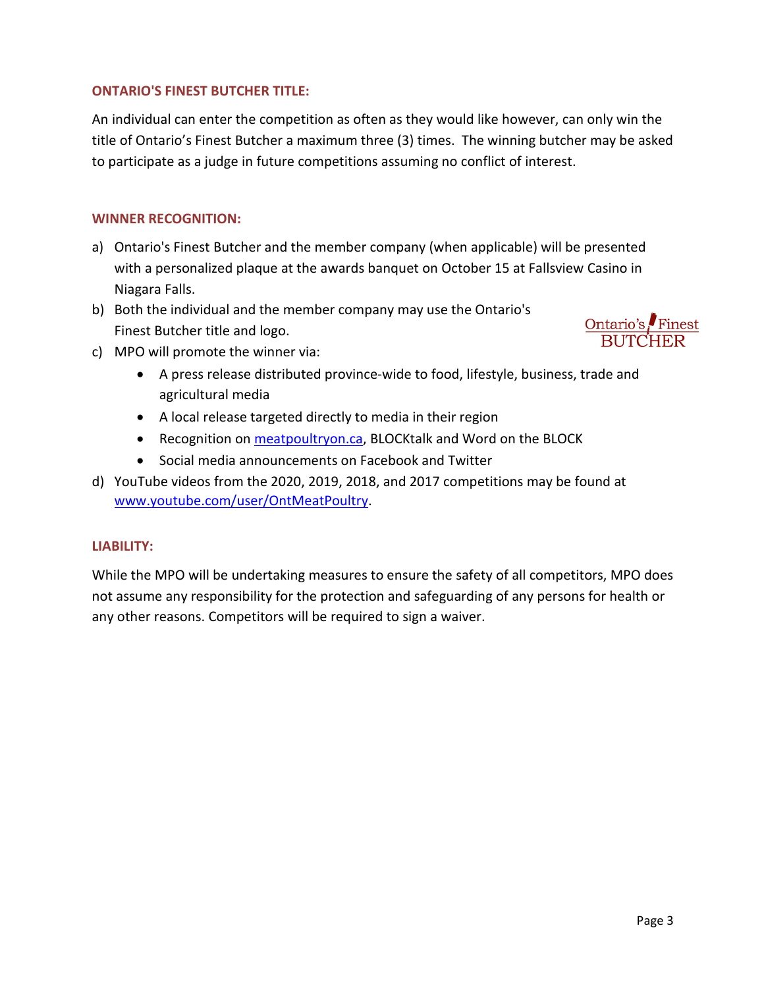## <span id="page-2-0"></span>**ONTARIO'S FINEST BUTCHER TITLE:**

An individual can enter the competition as often as they would like however, can only win the title of Ontario's Finest Butcher a maximum three (3) times. The winning butcher may be asked to participate as a judge in future competitions assuming no conflict of interest.

## <span id="page-2-1"></span>**WINNER RECOGNITION:**

- a) Ontario's Finest Butcher and the member company (when applicable) will be presented with a personalized plaque at the awards banquet on October 15 at Fallsview Casino in Niagara Falls.
- b) Both the individual and the member company may use the Ontario's Finest Butcher title and logo.
- c) MPO will promote the winner via:
	- A press release distributed province-wide to food, lifestyle, business, trade and agricultural media
	- A local release targeted directly to media in their region
	- Recognition on **meatpoultryon.ca**, BLOCKtalk and Word on the BLOCK
	- Social media announcements on Facebook and Twitter
- d) YouTube videos from the 2020, 2019, 2018, and 2017 competitions may be found at [www.youtube.com/user/OntMeatPoultry.](http://www.youtube.com/user/OntMeatPoultry)

## <span id="page-2-2"></span>**LIABILITY:**

While the MPO will be undertaking measures to ensure the safety of all competitors, MPO does not assume any responsibility for the protection and safeguarding of any persons for health or any other reasons. Competitors will be required to sign a waiver.

Ontario's Finest **BUTCHER**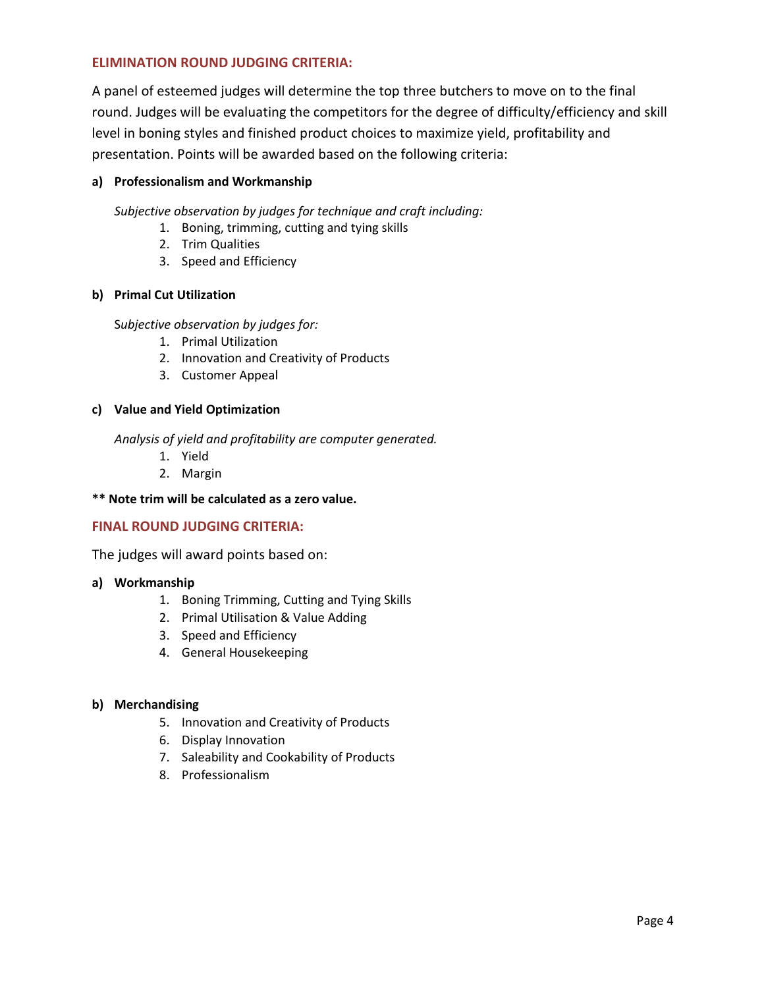## <span id="page-3-0"></span>**ELIMINATION ROUND JUDGING CRITERIA:**

A panel of esteemed judges will determine the top three butchers to move on to the final round. Judges will be evaluating the competitors for the degree of difficulty/efficiency and skill level in boning styles and finished product choices to maximize yield, profitability and presentation. Points will be awarded based on the following criteria:

## **a) Professionalism and Workmanship**

*Subjective observation by judges for technique and craft including:*

- 1. Boning, trimming, cutting and tying skills
- 2. Trim Qualities
- 3. Speed and Efficiency

#### **b) Primal Cut Utilization**

S*ubjective observation by judges for:*

- 1. Primal Utilization
- 2. Innovation and Creativity of Products
- 3. Customer Appeal

#### **c) Value and Yield Optimization**

*Analysis of yield and profitability are computer generated.*

- 1. Yield
- 2. Margin
- **\*\* Note trim will be calculated as a zero value.**

## <span id="page-3-1"></span>**FINAL ROUND JUDGING CRITERIA:**

The judges will award points based on:

#### **a) Workmanship**

- 1. Boning Trimming, Cutting and Tying Skills
- 2. Primal Utilisation & Value Adding
- 3. Speed and Efficiency
- 4. General Housekeeping

#### **b) Merchandising**

- 5. Innovation and Creativity of Products
- 6. Display Innovation
- 7. Saleability and Cookability of Products
- <span id="page-3-2"></span>8. Professionalism